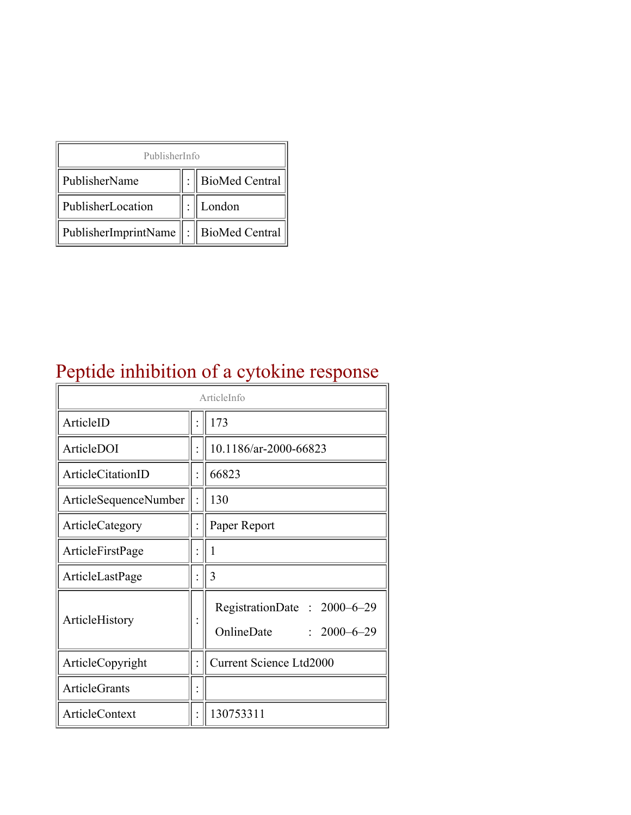| PublisherInfo                                   |  |                    |  |  |
|-------------------------------------------------|--|--------------------|--|--|
| PublisherName                                   |  | :   BioMed Central |  |  |
| PublisherLocation                               |  | London             |  |  |
| PublisherImprintName $\ \cdot\ $ BioMed Central |  |                    |  |  |

# Peptide inhibition of a cytokine response

| ArticleInfo           |  |                                                                |  |
|-----------------------|--|----------------------------------------------------------------|--|
| ArticleID             |  | 173                                                            |  |
| ArticleDOI            |  | 10.1186/ar-2000-66823                                          |  |
| ArticleCitationID     |  | 66823                                                          |  |
| ArticleSequenceNumber |  | 130                                                            |  |
| ArticleCategory       |  | Paper Report                                                   |  |
| ArticleFirstPage      |  | 1                                                              |  |
| ArticleLastPage       |  | 3                                                              |  |
| ArticleHistory        |  | RegistrationDate: 2000–6–29<br>OnlineDate<br>$: 2000 - 6 - 29$ |  |
| ArticleCopyright      |  | <b>Current Science Ltd2000</b>                                 |  |
| <b>ArticleGrants</b>  |  |                                                                |  |
| ArticleContext        |  | 130753311                                                      |  |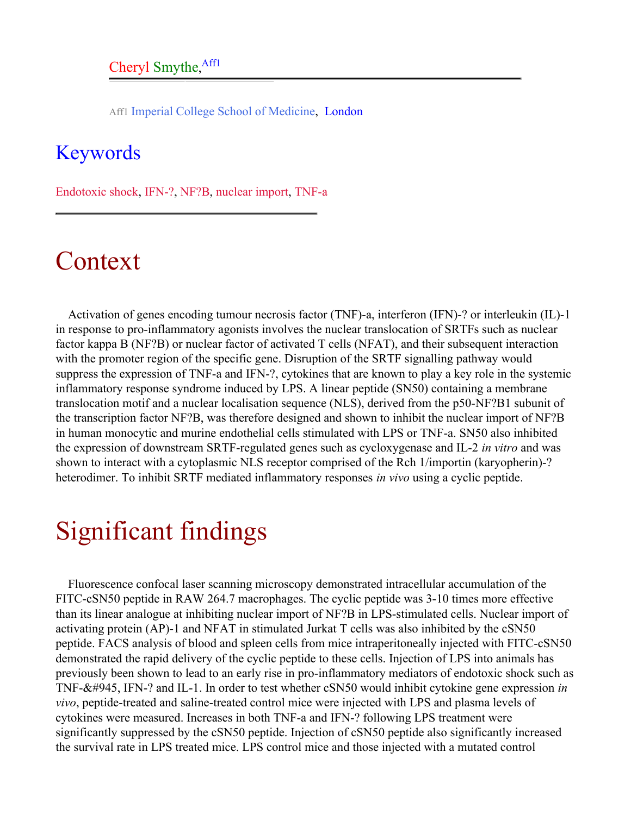Aff1 Imperial College School of Medicine, London

#### <span id="page-1-0"></span>Keywords

Endotoxic shock, IFN-?, NF?B, nuclear import, TNF-a

## Context

Activation of genes encoding tumour necrosis factor (TNF)-a, interferon (IFN)-? or interleukin (IL)-1 in response to pro-inflammatory agonists involves the nuclear translocation of SRTFs such as nuclear factor kappa B (NF?B) or nuclear factor of activated T cells (NFAT), and their subsequent interaction with the promoter region of the specific gene. Disruption of the SRTF signalling pathway would suppress the expression of TNF-a and IFN-?, cytokines that are known to play a key role in the systemic inflammatory response syndrome induced by LPS. A linear peptide (SN50) containing a membrane translocation motif and a nuclear localisation sequence (NLS), derived from the p50-NF?B1 subunit of the transcription factor NF?B, was therefore designed and shown to inhibit the nuclear import of NF?B in human monocytic and murine endothelial cells stimulated with LPS or TNF-a. SN50 also inhibited the expression of downstream SRTF-regulated genes such as cycloxygenase and IL-2 *in vitro* and was shown to interact with a cytoplasmic NLS receptor comprised of the Rch 1/importin (karyopherin)-? heterodimer. To inhibit SRTF mediated inflammatory responses *in vivo* using a cyclic peptide.

## Significant findings

Fluorescence confocal laser scanning microscopy demonstrated intracellular accumulation of the FITC-cSN50 peptide in RAW 264.7 macrophages. The cyclic peptide was 3-10 times more effective than its linear analogue at inhibiting nuclear import of NF?B in LPS-stimulated cells. Nuclear import of activating protein (AP)-1 and NFAT in stimulated Jurkat T cells was also inhibited by the cSN50 peptide. FACS analysis of blood and spleen cells from mice intraperitoneally injected with FITC-cSN50 demonstrated the rapid delivery of the cyclic peptide to these cells. Injection of LPS into animals has previously been shown to lead to an early rise in pro-inflammatory mediators of endotoxic shock such as TNF-&#945, IFN-? and IL-1. In order to test whether cSN50 would inhibit cytokine gene expression *in vivo*, peptide-treated and saline-treated control mice were injected with LPS and plasma levels of cytokines were measured. Increases in both TNF-a and IFN-? following LPS treatment were significantly suppressed by the cSN50 peptide. Injection of cSN50 peptide also significantly increased the survival rate in LPS treated mice. LPS control mice and those injected with a mutated control